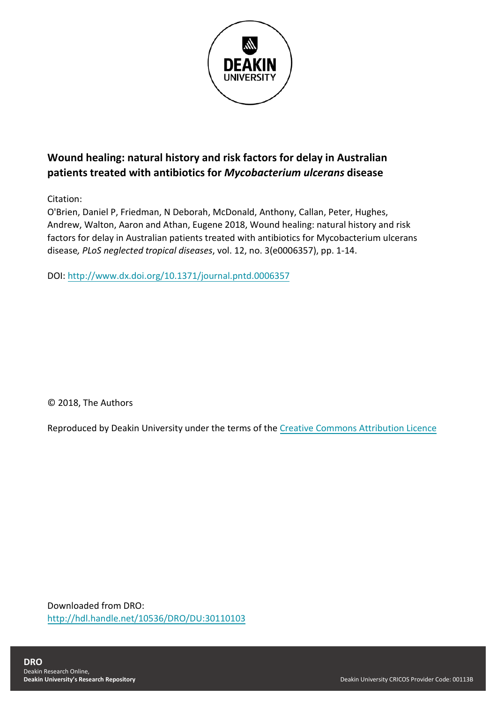

# **Wound healing: natural history and risk factors for delay in Australian patients treated with antibiotics for** *Mycobacterium ulcerans* **disease**

Citation:

O'Brien, Daniel P, Friedman, N Deborah, McDonald, Anthony, Callan, Peter, Hughes, Andrew, Walton, Aaron and Athan, Eugene 2018, Wound healing: natural history and risk factors for delay in Australian patients treated with antibiotics for Mycobacterium ulcerans disease*, PLoS neglected tropical diseases*, vol. 12, no. 3(e0006357), pp. 1-14.

DOI: <http://www.dx.doi.org/10.1371/journal.pntd.0006357>

© 2018, The Authors

Reproduced by Deakin University under the terms of the [Creative Commons Attribution Licence](https://creativecommons.org/licenses/by/4.0/)

Downloaded from DRO: <http://hdl.handle.net/10536/DRO/DU:30110103>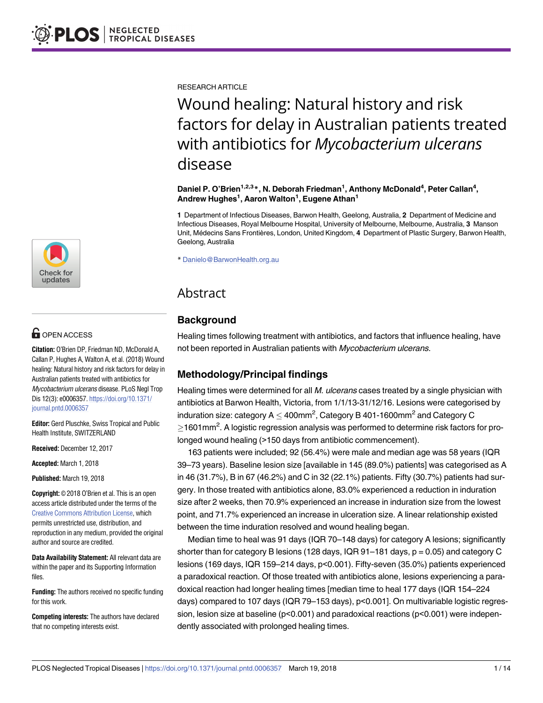RESEARCH ARTICLE

# Wound healing: Natural history and risk factors for delay in Australian patients treated with antibiotics for *Mycobacterium ulcerans* disease

**Daniel P. O'Brien1,2,3\*, N. Deborah Friedman1 , Anthony McDonald4 , Peter Callan4 , Andrew Hughes1 , Aaron Walton<sup>1</sup> , Eugene Athan1**

**1** Department of Infectious Diseases, Barwon Health, Geelong, Australia, **2** Department of Medicine and Infectious Diseases, Royal Melbourne Hospital, University of Melbourne, Melbourne, Australia, **3** Manson Unit, Me´decins Sans Frontières, London, United Kingdom, **4** Department of Plastic Surgery, Barwon Health, Geelong, Australia

\* Danielo@BarwonHealth.org.au

## Abstract

## **Background**

Healing times following treatment with antibiotics, and factors that influence healing, have not been reported in Australian patients with Mycobacterium ulcerans.

## **Methodology/Principal findings**

Healing times were determined for all M. ulcerans cases treated by a single physician with antibiotics at Barwon Health, Victoria, from 1/1/13-31/12/16. Lesions were categorised by induration size: category A  $\leq$  400mm<sup>2</sup>, Category B 401-1600mm<sup>2</sup> and Category C  $\geq$ 1601mm<sup>2</sup>. A logistic regression analysis was performed to determine risk factors for prolonged wound healing (>150 days from antibiotic commencement).

163 patients were included; 92 (56.4%) were male and median age was 58 years (IQR 39–73 years). Baseline lesion size [available in 145 (89.0%) patients] was categorised as A in 46 (31.7%), B in 67 (46.2%) and C in 32 (22.1%) patients. Fifty (30.7%) patients had surgery. In those treated with antibiotics alone, 83.0% experienced a reduction in induration size after 2 weeks, then 70.9% experienced an increase in induration size from the lowest point, and 71.7% experienced an increase in ulceration size. A linear relationship existed between the time induration resolved and wound healing began.

Median time to heal was 91 days (IQR 70–148 days) for category A lesions; significantly shorter than for category B lesions (128 days, IQR 91-181 days,  $p = 0.05$ ) and category C lesions (169 days, IQR 159–214 days, p<0.001). Fifty-seven (35.0%) patients experienced a paradoxical reaction. Of those treated with antibiotics alone, lesions experiencing a paradoxical reaction had longer healing times [median time to heal 177 days (IQR 154–224 days) compared to 107 days (IQR 79–153 days), p<0.001]. On multivariable logistic regression, lesion size at baseline (p<0.001) and paradoxical reactions (p<0.001) were independently associated with prolonged healing times.



# **OPEN ACCESS**

**Citation:** O'Brien DP, Friedman ND, McDonald A, Callan P, Hughes A, Walton A, et al. (2018) Wound healing: Natural history and risk factors for delay in Australian patients treated with antibiotics for Mycobacterium ulcerans disease. PLoS Negl Trop Dis 12(3): e0006357. [https://doi.org/10.1371/](https://doi.org/10.1371/journal.pntd.0006357) [journal.pntd.0006357](https://doi.org/10.1371/journal.pntd.0006357)

**Editor:** Gerd Pluschke, Swiss Tropical and Public Health Institute, SWITZERLAND

**Received:** December 12, 2017

**Accepted:** March 1, 2018

**Published:** March 19, 2018

**Copyright:** © 2018 O'Brien et al. This is an open access article distributed under the terms of the Creative Commons [Attribution](http://creativecommons.org/licenses/by/4.0/) License, which permits unrestricted use, distribution, and reproduction in any medium, provided the original author and source are credited.

**Data Availability Statement:** All relevant data are within the paper and its Supporting Information files.

**Funding:** The authors received no specific funding for this work.

**Competing interests:** The authors have declared that no competing interests exist.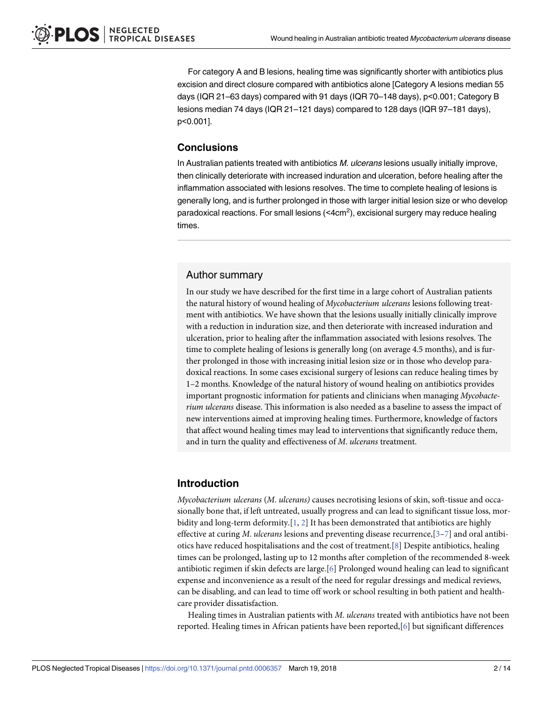<span id="page-2-0"></span>For category A and B lesions, healing time was significantly shorter with antibiotics plus excision and direct closure compared with antibiotics alone [Category A lesions median 55 days (IQR 21–63 days) compared with 91 days (IQR 70–148 days), p<0.001; Category B lesions median 74 days (IQR 21–121 days) compared to 128 days (IQR 97–181 days), p<0.001].

## **Conclusions**

In Australian patients treated with antibiotics M. ulcerans lesions usually initially improve, then clinically deteriorate with increased induration and ulceration, before healing after the inflammation associated with lesions resolves. The time to complete healing of lesions is generally long, and is further prolonged in those with larger initial lesion size or who develop paradoxical reactions. For small lesions (<4cm<sup>2</sup>), excisional surgery may reduce healing times.

## Author summary

In our study we have described for the first time in a large cohort of Australian patients the natural history of wound healing of *Mycobacterium ulcerans* lesions following treatment with antibiotics. We have shown that the lesions usually initially clinically improve with a reduction in induration size, and then deteriorate with increased induration and ulceration, prior to healing after the inflammation associated with lesions resolves. The time to complete healing of lesions is generally long (on average 4.5 months), and is further prolonged in those with increasing initial lesion size or in those who develop paradoxical reactions. In some cases excisional surgery of lesions can reduce healing times by 1–2 months. Knowledge of the natural history of wound healing on antibiotics provides important prognostic information for patients and clinicians when managing *Mycobacterium ulcerans* disease. This information is also needed as a baseline to assess the impact of new interventions aimed at improving healing times. Furthermore, knowledge of factors that affect wound healing times may lead to interventions that significantly reduce them, and in turn the quality and effectiveness of *M*. *ulcerans* treatment.

## **Introduction**

*Mycobacterium ulcerans* (*M*. *ulcerans)* causes necrotising lesions of skin, soft-tissue and occasionally bone that, if left untreated, usually progress and can lead to significant tissue loss, morbidity and long-term deformity.[\[1](#page-12-0), [2](#page-13-0)] It has been demonstrated that antibiotics are highly effective at curing *M*. *ulcerans* lesions and preventing disease recurrence,[\[3–7](#page-13-0)] and oral antibiotics have reduced hospitalisations and the cost of treatment.[\[8\]](#page-13-0) Despite antibiotics, healing times can be prolonged, lasting up to 12 months after completion of the recommended 8-week antibiotic regimen if skin defects are large.[[6](#page-13-0)] Prolonged wound healing can lead to significant expense and inconvenience as a result of the need for regular dressings and medical reviews, can be disabling, and can lead to time off work or school resulting in both patient and healthcare provider dissatisfaction.

Healing times in Australian patients with *M*. *ulcerans* treated with antibiotics have not been reported. Healing times in African patients have been reported,[[6](#page-13-0)] but significant differences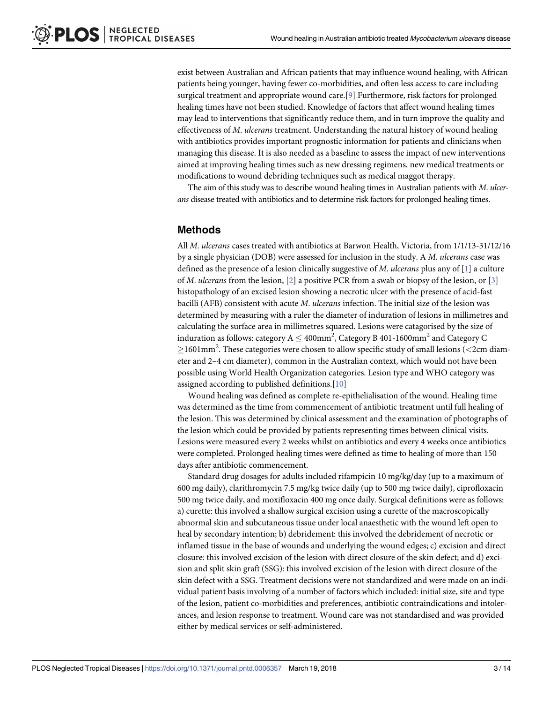<span id="page-3-0"></span>exist between Australian and African patients that may influence wound healing, with African patients being younger, having fewer co-morbidities, and often less access to care including surgical treatment and appropriate wound care.[[9\]](#page-13-0) Furthermore, risk factors for prolonged healing times have not been studied. Knowledge of factors that affect wound healing times may lead to interventions that significantly reduce them, and in turn improve the quality and effectiveness of *M*. *ulcerans* treatment. Understanding the natural history of wound healing with antibiotics provides important prognostic information for patients and clinicians when managing this disease. It is also needed as a baseline to assess the impact of new interventions aimed at improving healing times such as new dressing regimens, new medical treatments or modifications to wound debriding techniques such as medical maggot therapy.

The aim of this study was to describe wound healing times in Australian patients with *M*. *ulcerans* disease treated with antibiotics and to determine risk factors for prolonged healing times.

### **Methods**

All *M*. *ulcerans* cases treated with antibiotics at Barwon Health, Victoria, from 1/1/13-31/12/16 by a single physician (DOB) were assessed for inclusion in the study. A *M*. *ulcerans* case was defined as the presence of a lesion clinically suggestive of *M*. *ulcerans* plus any of [[1\]](#page-12-0) a culture of *M*. *ulcerans* from the lesion, [\[2\]](#page-13-0) a positive PCR from a swab or biopsy of the lesion, or [[3\]](#page-13-0) histopathology of an excised lesion showing a necrotic ulcer with the presence of acid-fast bacilli (AFB) consistent with acute *M*. *ulcerans* infection. The initial size of the lesion was determined by measuring with a ruler the diameter of induration of lesions in millimetres and calculating the surface area in millimetres squared. Lesions were catagorised by the size of induration as follows: category A  $\leq$  400mm<sup>2</sup>, Category B 401-1600mm<sup>2</sup> and Category C 1601mm<sup>2</sup> . These categories were chosen to allow specific study of small lesions (*<*2cm diameter and 2–4 cm diameter), common in the Australian context, which would not have been possible using World Health Organization categories. Lesion type and WHO category was assigned according to published definitions.[\[10\]](#page-13-0)

Wound healing was defined as complete re-epithelialisation of the wound. Healing time was determined as the time from commencement of antibiotic treatment until full healing of the lesion. This was determined by clinical assessment and the examination of photographs of the lesion which could be provided by patients representing times between clinical visits. Lesions were measured every 2 weeks whilst on antibiotics and every 4 weeks once antibiotics were completed. Prolonged healing times were defined as time to healing of more than 150 days after antibiotic commencement.

Standard drug dosages for adults included rifampicin 10 mg/kg/day (up to a maximum of 600 mg daily), clarithromycin 7.5 mg/kg twice daily (up to 500 mg twice daily), ciprofloxacin 500 mg twice daily, and moxifloxacin 400 mg once daily. Surgical definitions were as follows: a) curette: this involved a shallow surgical excision using a curette of the macroscopically abnormal skin and subcutaneous tissue under local anaesthetic with the wound left open to heal by secondary intention; b) debridement: this involved the debridement of necrotic or inflamed tissue in the base of wounds and underlying the wound edges; c) excision and direct closure: this involved excision of the lesion with direct closure of the skin defect; and d) excision and split skin graft (SSG): this involved excision of the lesion with direct closure of the skin defect with a SSG. Treatment decisions were not standardized and were made on an individual patient basis involving of a number of factors which included: initial size, site and type of the lesion, patient co-morbidities and preferences, antibiotic contraindications and intolerances, and lesion response to treatment. Wound care was not standardised and was provided either by medical services or self-administered.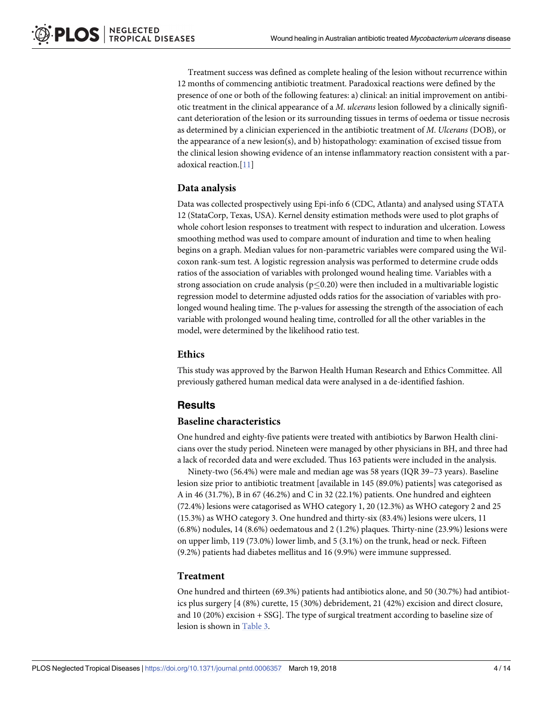<span id="page-4-0"></span>Treatment success was defined as complete healing of the lesion without recurrence within 12 months of commencing antibiotic treatment. Paradoxical reactions were defined by the presence of one or both of the following features: a) clinical: an initial improvement on antibiotic treatment in the clinical appearance of a *M*. *ulcerans* lesion followed by a clinically significant deterioration of the lesion or its surrounding tissues in terms of oedema or tissue necrosis as determined by a clinician experienced in the antibiotic treatment of *M*. *Ulcerans* (DOB), or the appearance of a new lesion(s), and b) histopathology: examination of excised tissue from the clinical lesion showing evidence of an intense inflammatory reaction consistent with a paradoxical reaction.[[11](#page-13-0)]

#### **Data analysis**

Data was collected prospectively using Epi-info 6 (CDC, Atlanta) and analysed using STATA 12 (StataCorp, Texas, USA). Kernel density estimation methods were used to plot graphs of whole cohort lesion responses to treatment with respect to induration and ulceration. Lowess smoothing method was used to compare amount of induration and time to when healing begins on a graph. Median values for non-parametric variables were compared using the Wilcoxon rank-sum test. A logistic regression analysis was performed to determine crude odds ratios of the association of variables with prolonged wound healing time. Variables with a strong association on crude analysis ( $p<0.20$ ) were then included in a multivariable logistic regression model to determine adjusted odds ratios for the association of variables with prolonged wound healing time. The p-values for assessing the strength of the association of each variable with prolonged wound healing time, controlled for all the other variables in the model, were determined by the likelihood ratio test.

#### **Ethics**

This study was approved by the Barwon Health Human Research and Ethics Committee. All previously gathered human medical data were analysed in a de-identified fashion.

#### **Results**

#### **Baseline characteristics**

One hundred and eighty-five patients were treated with antibiotics by Barwon Health clinicians over the study period. Nineteen were managed by other physicians in BH, and three had a lack of recorded data and were excluded. Thus 163 patients were included in the analysis.

Ninety-two (56.4%) were male and median age was 58 years (IQR 39–73 years). Baseline lesion size prior to antibiotic treatment [available in 145 (89.0%) patients] was categorised as A in 46 (31.7%), B in 67 (46.2%) and C in 32 (22.1%) patients. One hundred and eighteen (72.4%) lesions were catagorised as WHO category 1, 20 (12.3%) as WHO category 2 and 25 (15.3%) as WHO category 3. One hundred and thirty-six (83.4%) lesions were ulcers, 11 (6.8%) nodules, 14 (8.6%) oedematous and 2 (1.2%) plaques. Thirty-nine (23.9%) lesions were on upper limb, 119 (73.0%) lower limb, and 5 (3.1%) on the trunk, head or neck. Fifteen (9.2%) patients had diabetes mellitus and 16 (9.9%) were immune suppressed.

#### **Treatment**

One hundred and thirteen (69.3%) patients had antibiotics alone, and 50 (30.7%) had antibiotics plus surgery [4 (8%) curette, 15 (30%) debridement, 21 (42%) excision and direct closure, and 10 (20%) excision + SSG]. The type of surgical treatment according to baseline size of lesion is shown in [Table](#page-10-0) 3.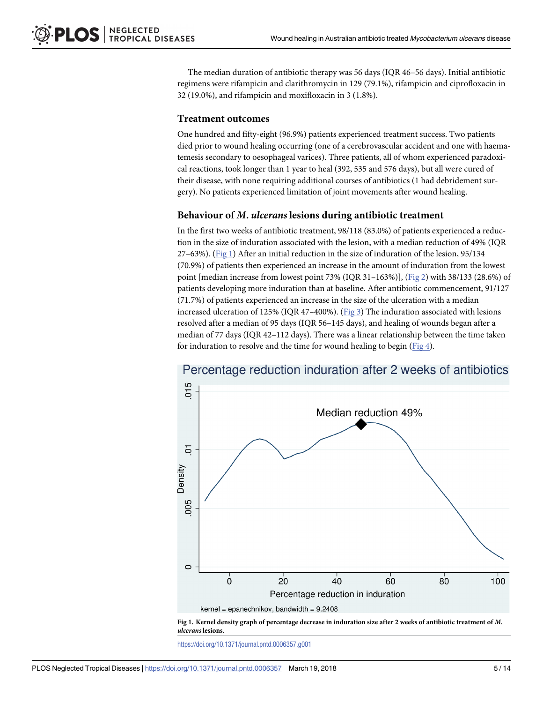<span id="page-5-0"></span>The median duration of antibiotic therapy was 56 days (IQR 46–56 days). Initial antibiotic regimens were rifampicin and clarithromycin in 129 (79.1%), rifampicin and ciprofloxacin in 32 (19.0%), and rifampicin and moxifloxacin in 3 (1.8%).

### **Treatment outcomes**

One hundred and fifty-eight (96.9%) patients experienced treatment success. Two patients died prior to wound healing occurring (one of a cerebrovascular accident and one with haematemesis secondary to oesophageal varices). Three patients, all of whom experienced paradoxical reactions, took longer than 1 year to heal (392, 535 and 576 days), but all were cured of their disease, with none requiring additional courses of antibiotics (1 had debridement surgery). No patients experienced limitation of joint movements after wound healing.

## **Behaviour of** *M***.** *ulcerans* **lesions during antibiotic treatment**

In the first two weeks of antibiotic treatment, 98/118 (83.0%) of patients experienced a reduction in the size of induration associated with the lesion, with a median reduction of 49% (IQR 27–63%). (Fig 1) After an initial reduction in the size of induration of the lesion, 95/134 (70.9%) of patients then experienced an increase in the amount of induration from the lowest point [median increase from lowest point 73% (IQR 31–163%)], [\(Fig](#page-6-0) 2) with 38/133 (28.6%) of patients developing more induration than at baseline. After antibiotic commencement, 91/127 (71.7%) of patients experienced an increase in the size of the ulceration with a median increased ulceration of 125% (IQR 47–400%). [\(Fig](#page-6-0) 3) The induration associated with lesions resolved after a median of 95 days (IQR 56–145 days), and healing of wounds began after a median of 77 days (IQR 42–112 days). There was a linear relationship between the time taken for induration to resolve and the time for wound healing to begin ( $Fig 4$  $Fig 4$ ).



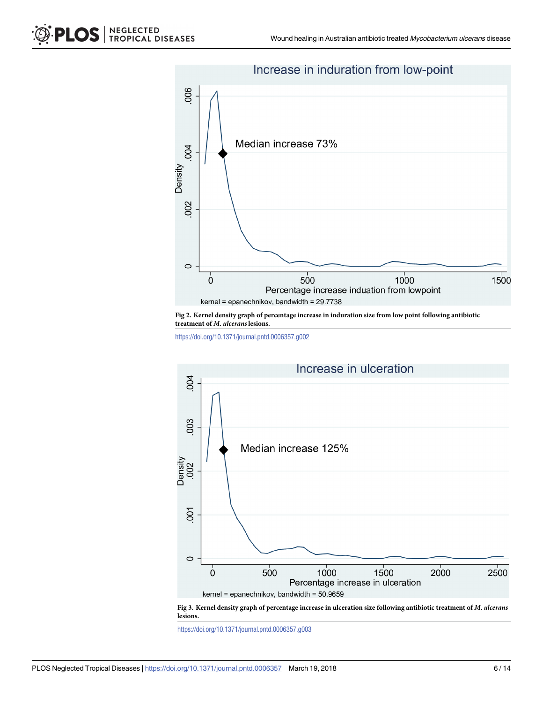<span id="page-6-0"></span>

**[Fig](#page-5-0) 2. Kernel density graph of percentage increase in induration size from low point following antibiotic treatment of** *M***.** *ulcerans***lesions.**

<https://doi.org/10.1371/journal.pntd.0006357.g002>



[Fig](#page-5-0) 3. Kernel density graph of percentage increase in ulceration size following antibiotic treatment of M. ulcerans **lesions.**

<https://doi.org/10.1371/journal.pntd.0006357.g003>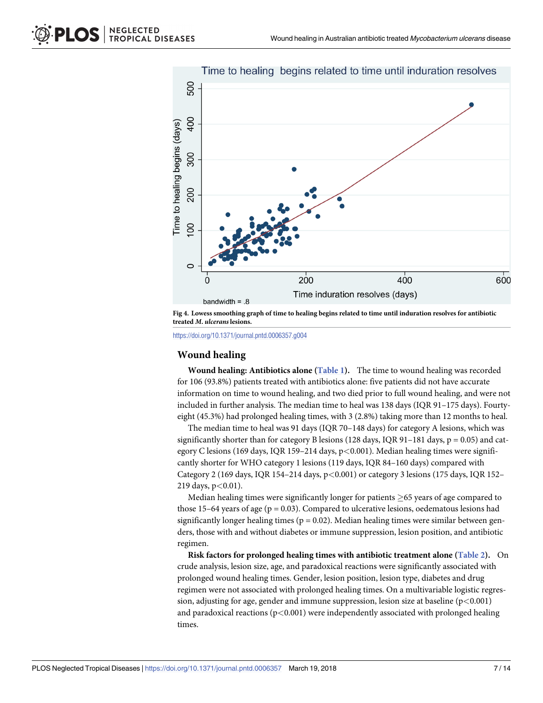<span id="page-7-0"></span>

[Fig](#page-5-0) 4. Lowess smoothing graph of time to healing begins related to time until induration resolves for antibiotic **treated** *M***.** *ulcerans***lesions.**

<https://doi.org/10.1371/journal.pntd.0006357.g004>

### **Wound healing**

**Wound healing: Antibiotics alone ([Table](#page-8-0) 1).** The time to wound healing was recorded for 106 (93.8%) patients treated with antibiotics alone: five patients did not have accurate information on time to wound healing, and two died prior to full wound healing, and were not included in further analysis. The median time to heal was 138 days (IQR 91–175 days). Fourtyeight (45.3%) had prolonged healing times, with 3 (2.8%) taking more than 12 months to heal.

The median time to heal was 91 days (IQR 70–148 days) for category A lesions, which was significantly shorter than for category B lesions (128 days, IQR 91-181 days,  $p = 0.05$ ) and category C lesions (169 days, IQR 159–214 days, p*<*0.001). Median healing times were significantly shorter for WHO category 1 lesions (119 days, IQR 84–160 days) compared with Category 2 (169 days, IQR 154–214 days, p*<*0.001) or category 3 lesions (175 days, IQR 152– 219 days, p*<*0.01).

Median healing times were significantly longer for patients  $\geq$  65 years of age compared to those 15–64 years of age ( $p = 0.03$ ). Compared to ulcerative lesions, oedematous lesions had significantly longer healing times ( $p = 0.02$ ). Median healing times were similar between genders, those with and without diabetes or immune suppression, lesion position, and antibiotic regimen.

**Risk factors for prolonged healing times with antibiotic treatment alone [\(Table](#page-9-0) 2).** On crude analysis, lesion size, age, and paradoxical reactions were significantly associated with prolonged wound healing times. Gender, lesion position, lesion type, diabetes and drug regimen were not associated with prolonged healing times. On a multivariable logistic regression, adjusting for age, gender and immune suppression, lesion size at baseline (p*<*0.001) and paradoxical reactions (p*<*0.001) were independently associated with prolonged healing times.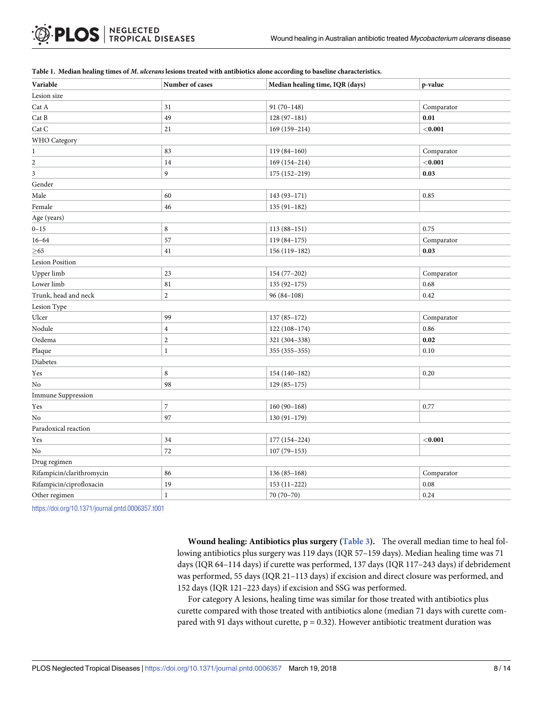| Variable                        | Number of cases  | Median healing time, IQR (days) | p-value    |
|---------------------------------|------------------|---------------------------------|------------|
| Lesion size                     |                  |                                 |            |
| Cat A                           | 31               | $91(70-148)$                    | Comparator |
| Cat B                           | 49               | $128(97-181)$                   | 0.01       |
| $\operatorname{Cat} \mathsf{C}$ | $21\,$           | 169 (159-214)                   | $<$ 0.001  |
| WHO Category                    |                  |                                 |            |
| $\mathbf{1}$                    | 83               | $119(84-160)$                   | Comparator |
| $\boldsymbol{2}$                | 14               | 169 (154-214)                   | < 0.001    |
| $\mathfrak{Z}$                  | 9                | 175 (152-219)                   | 0.03       |
| Gender                          |                  |                                 |            |
| Male                            | 60               | 143 (93-171)                    | 0.85       |
| Female                          | 46               | $135(91-182)$                   |            |
| Age (years)                     |                  |                                 |            |
| $0 - 15$                        | 8                | $113(88-151)$                   | 0.75       |
| $16 - 64$                       | 57               | $119(84 - 175)$                 | Comparator |
| ${\geq}65$                      | 41               | 156 (119-182)                   | 0.03       |
| <b>Lesion Position</b>          |                  |                                 |            |
| Upper limb                      | 23               | 154 (77-202)                    | Comparator |
| Lower limb                      | 81               | $135(92 - 175)$                 | 0.68       |
| Trunk, head and neck            | $\overline{c}$   | $96(84-108)$                    | 0.42       |
| Lesion Type                     |                  |                                 |            |
| Ulcer                           | 99               | $137(85 - 172)$                 | Comparator |
| Nodule                          | $\overline{4}$   | 122 (108-174)                   | 0.86       |
| Oedema                          | $\boldsymbol{2}$ | 321 (304-338)                   | 0.02       |
| Plaque                          | $\bf 1$          | 355 (355-355)                   | 0.10       |
| Diabetes                        |                  |                                 |            |
| Yes                             | 8                | 154 (140-182)                   | 0.20       |
| No                              | 98               | $129(85-175)$                   |            |
| <b>Immune Suppression</b>       |                  |                                 |            |
| Yes                             | $\boldsymbol{7}$ | $160(90-168)$                   | 0.77       |
| No                              | 97               | $130(91-179)$                   |            |
| Paradoxical reaction            |                  |                                 |            |
| Yes                             | 34               | 177 (154-224)                   | $<$ 0.001  |
| No                              | 72               | $107(79-153)$                   |            |
| Drug regimen                    |                  |                                 |            |
| Rifampicin/clarithromycin       | 86               | $136(85 - 168)$                 | Comparator |
| Rifampicin/ciprofloxacin        | 19               | $153(11-222)$                   | 0.08       |
| Other regimen                   | $\mathbf{1}$     | 70 (70-70)                      | 0.24       |
|                                 |                  |                                 |            |

#### <span id="page-8-0"></span>[Table](#page-7-0) 1. Median healing times of M. ulcerans lesions treated with antibiotics alone according to baseline characteristics.

<https://doi.org/10.1371/journal.pntd.0006357.t001>

**Wound healing: Antibiotics plus surgery [\(Table](#page-10-0) 3).** The overall median time to heal following antibiotics plus surgery was 119 days (IQR 57–159 days). Median healing time was 71 days (IQR 64–114 days) if curette was performed, 137 days (IQR 117–243 days) if debridement was performed, 55 days (IQR 21–113 days) if excision and direct closure was performed, and 152 days (IQR 121–223 days) if excision and SSG was performed.

For category A lesions, healing time was similar for those treated with antibiotics plus curette compared with those treated with antibiotics alone (median 71 days with curette compared with 91 days without curette,  $p = 0.32$ ). However antibiotic treatment duration was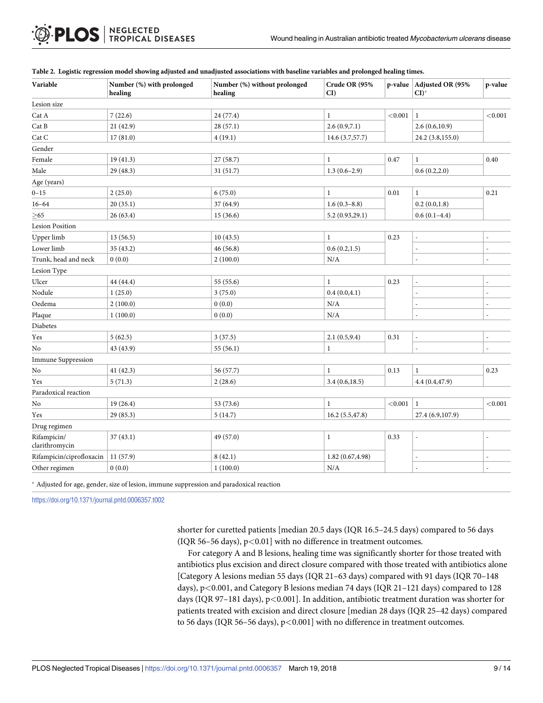| Variable                      | Number (%) with prolonged<br>healing | Number (%) without prolonged<br>healing | Crude OR (95%<br>$CI$ ) |          | p-value Adjusted OR (95%<br>$CI$ <sup>*</sup> | p-value |
|-------------------------------|--------------------------------------|-----------------------------------------|-------------------------|----------|-----------------------------------------------|---------|
| Lesion size                   |                                      |                                         |                         |          |                                               |         |
| Cat A                         | 7(22.6)                              | 24 (77.4)                               | $\mathbf{1}$            | < 0.001  | $\mathbf{1}$                                  | < 0.001 |
| Cat B                         | 21(42.9)                             | 28(57.1)                                | 2.6(0.9,7.1)            |          | 2.6(0.6,10.9)                                 |         |
| Cat C                         | 17(81.0)                             | 4(19.1)                                 | 14.6 (3.7,57.7)         |          | 24.2 (3.8,155.0)                              |         |
| Gender                        |                                      |                                         |                         |          |                                               |         |
| Female                        | 19(41.3)                             | 27 (58.7)                               | $\mathbf{1}$            | 0.47     | $\mathbf{1}$                                  | 0.40    |
| Male                          | 29 (48.3)                            | 31 (51.7)                               | $1.3(0.6-2.9)$          |          | 0.6(0.2, 2.0)                                 |         |
| Age (years)                   |                                      |                                         |                         |          |                                               |         |
| $0 - 15$                      | 2(25.0)                              | 6(75.0)                                 | $\mathbf{1}$            | $0.01\,$ | $\mathbf{1}$                                  | 0.21    |
| $16 - 64$                     | 20(35.1)                             | 37 (64.9)                               | $1.6(0.3 - 8.8)$        |          | 0.2(0.0, 1.8)                                 |         |
| $\geq 65$                     | 26(63.4)                             | 15(36.6)                                | 5.2(0.93,29.1)          |          | $0.6(0.1-4.4)$                                |         |
| <b>Lesion Position</b>        |                                      |                                         |                         |          |                                               |         |
| Upper limb                    | 13(56.5)                             | 10(43.5)                                | $\mathbf{1}$            | 0.23     |                                               |         |
| Lower limb                    | 35 (43.2)                            | 46 (56.8)                               | 0.6(0.2, 1.5)           |          |                                               |         |
| Trunk, head and neck          | 0(0.0)                               | 2(100.0)                                | N/A                     |          |                                               |         |
| Lesion Type                   |                                      |                                         |                         |          |                                               |         |
| Ulcer                         | 44 (44.4)                            | 55 (55.6)                               | $\,1$                   | 0.23     | $\overline{\phantom{a}}$                      |         |
| Nodule                        | 1(25.0)                              | 3(75.0)                                 | 0.4(0.0, 4.1)           |          |                                               |         |
| Oedema                        | 2(100.0)                             | 0(0.0)                                  | N/A                     |          | $\overline{a}$                                |         |
| Plaque                        | 1(100.0)                             | 0(0.0)                                  | N/A                     |          |                                               |         |
| Diabetes                      |                                      |                                         |                         |          |                                               |         |
| Yes                           | 5(62.5)                              | 3(37.5)                                 | 2.1(0.5, 9.4)           | 0.31     |                                               |         |
| No                            | 43 (43.9)                            | 55(56.1)                                | $\mathbf{1}$            |          |                                               |         |
| <b>Immune Suppression</b>     |                                      |                                         |                         |          |                                               |         |
| No                            | 41 (42.3)                            | 56 (57.7)                               | $\mathbf{1}$            | 0.13     | $\mathbf{1}$                                  | 0.23    |
| Yes                           | 5(71.3)                              | 2(28.6)                                 | 3.4(0.6, 18.5)          |          | 4.4 (0.4,47.9)                                |         |
| Paradoxical reaction          |                                      |                                         |                         |          |                                               |         |
| $\rm No$                      | 19(26.4)                             | 53 (73.6)                               | $\mathbf{1}$            | < 0.001  | $\mathbf{1}$                                  | < 0.001 |
| Yes                           | 29 (85.3)                            | 5(14.7)                                 | 16.2(5.5, 47.8)         |          | 27.4 (6.9,107.9)                              |         |
| Drug regimen                  |                                      |                                         |                         |          |                                               |         |
| Rifampicin/<br>clarithromycin | 37(43.1)                             | 49 (57.0)                               | $\mathbf{1}$            | 0.33     | ä,                                            |         |
| Rifampicin/ciprofloxacin      | 11(57.9)                             | 8(42.1)                                 | 1.82(0.67, 4.98)        |          |                                               |         |
| Other regimen                 | 0(0.0)                               | 1(100.0)                                | N/A                     |          |                                               |         |

#### <span id="page-9-0"></span>[Table](#page-7-0) 2. Logistic regression model showing adjusted and unadjusted associations with baseline variables and prolonged healing times.

Adjusted for age, gender, size of lesion, immune suppression and paradoxical reaction

<https://doi.org/10.1371/journal.pntd.0006357.t002>

shorter for curetted patients [median 20.5 days (IQR 16.5–24.5 days) compared to 56 days (IQR 56–56 days), p*<*0.01] with no difference in treatment outcomes.

For category A and B lesions, healing time was significantly shorter for those treated with antibiotics plus excision and direct closure compared with those treated with antibiotics alone [Category A lesions median 55 days (IQR 21–63 days) compared with 91 days (IQR 70–148 days), p*<*0.001, and Category B lesions median 74 days (IQR 21–121 days) compared to 128 days (IQR 97–181 days), p*<*0.001]. In addition, antibiotic treatment duration was shorter for patients treated with excision and direct closure [median 28 days (IQR 25–42 days) compared to 56 days (IQR 56–56 days), p*<*0.001] with no difference in treatment outcomes.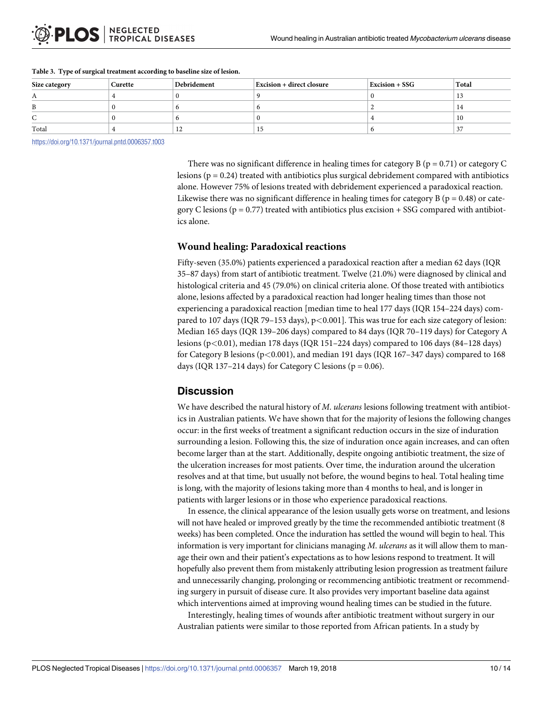| Size category | Curette | Debridement | <b>Excision + direct closure</b> | <b>Excision + SSG</b> | Total |
|---------------|---------|-------------|----------------------------------|-----------------------|-------|
|               |         |             |                                  |                       |       |
|               |         |             |                                  |                       |       |
|               |         |             |                                  |                       |       |
| Total         |         | ᆠ           |                                  |                       | ◡     |

#### <span id="page-10-0"></span>**[Table](#page-4-0) 3. Type of surgical treatment according to baseline size of lesion.**

<https://doi.org/10.1371/journal.pntd.0006357.t003>

There was no significant difference in healing times for category B ( $p = 0.71$ ) or category C lesions ( $p = 0.24$ ) treated with antibiotics plus surgical debridement compared with antibiotics alone. However 75% of lesions treated with debridement experienced a paradoxical reaction. Likewise there was no significant difference in healing times for category B ( $p = 0.48$ ) or category C lesions ( $p = 0.77$ ) treated with antibiotics plus excision + SSG compared with antibiotics alone.

## **Wound healing: Paradoxical reactions**

Fifty-seven (35.0%) patients experienced a paradoxical reaction after a median 62 days (IQR 35–87 days) from start of antibiotic treatment. Twelve (21.0%) were diagnosed by clinical and histological criteria and 45 (79.0%) on clinical criteria alone. Of those treated with antibiotics alone, lesions affected by a paradoxical reaction had longer healing times than those not experiencing a paradoxical reaction [median time to heal 177 days (IQR 154–224 days) compared to 107 days (IQR 79–153 days), p*<*0.001]. This was true for each size category of lesion: Median 165 days (IQR 139–206 days) compared to 84 days (IQR 70–119 days) for Category A lesions (p*<*0.01), median 178 days (IQR 151–224 days) compared to 106 days (84–128 days) for Category B lesions (p*<*0.001), and median 191 days (IQR 167–347 days) compared to 168 days (IQR 137-214 days) for Category C lesions ( $p = 0.06$ ).

## **Discussion**

We have described the natural history of *M*. *ulcerans* lesions following treatment with antibiotics in Australian patients. We have shown that for the majority of lesions the following changes occur: in the first weeks of treatment a significant reduction occurs in the size of induration surrounding a lesion. Following this, the size of induration once again increases, and can often become larger than at the start. Additionally, despite ongoing antibiotic treatment, the size of the ulceration increases for most patients. Over time, the induration around the ulceration resolves and at that time, but usually not before, the wound begins to heal. Total healing time is long, with the majority of lesions taking more than 4 months to heal, and is longer in patients with larger lesions or in those who experience paradoxical reactions.

In essence, the clinical appearance of the lesion usually gets worse on treatment, and lesions will not have healed or improved greatly by the time the recommended antibiotic treatment (8 weeks) has been completed. Once the induration has settled the wound will begin to heal. This information is very important for clinicians managing *M*. *ulcerans* as it will allow them to manage their own and their patient's expectations as to how lesions respond to treatment. It will hopefully also prevent them from mistakenly attributing lesion progression as treatment failure and unnecessarily changing, prolonging or recommencing antibiotic treatment or recommending surgery in pursuit of disease cure. It also provides very important baseline data against which interventions aimed at improving wound healing times can be studied in the future.

Interestingly, healing times of wounds after antibiotic treatment without surgery in our Australian patients were similar to those reported from African patients. In a study by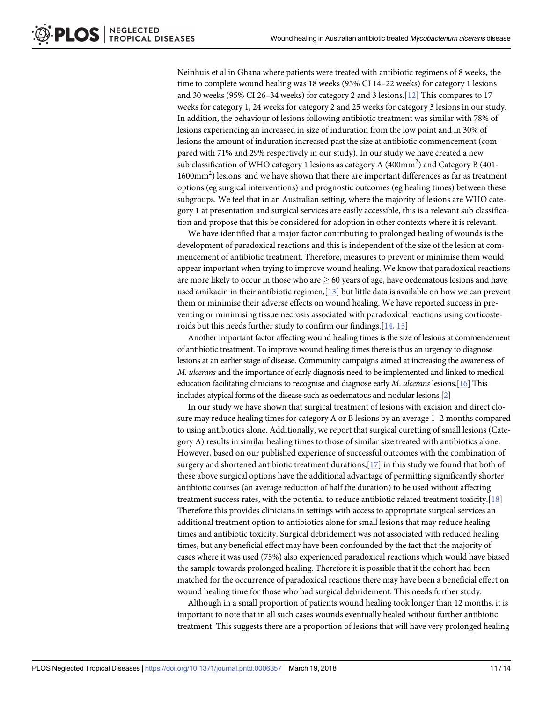<span id="page-11-0"></span>Neinhuis et al in Ghana where patients were treated with antibiotic regimens of 8 weeks, the time to complete wound healing was 18 weeks (95% CI 14–22 weeks) for category 1 lesions and 30 weeks (95% CI 26–34 weeks) for category 2 and 3 lesions.[[12](#page-13-0)] This compares to 17 weeks for category 1, 24 weeks for category 2 and 25 weeks for category 3 lesions in our study. In addition, the behaviour of lesions following antibiotic treatment was similar with 78% of lesions experiencing an increased in size of induration from the low point and in 30% of lesions the amount of induration increased past the size at antibiotic commencement (compared with 71% and 29% respectively in our study). In our study we have created a new sub classification of WHO category 1 lesions as category A (400mm<sup>2</sup>) and Category B (401-1600mm<sup>2</sup>) lesions, and we have shown that there are important differences as far as treatment options (eg surgical interventions) and prognostic outcomes (eg healing times) between these subgroups. We feel that in an Australian setting, where the majority of lesions are WHO category 1 at presentation and surgical services are easily accessible, this is a relevant sub classification and propose that this be considered for adoption in other contexts where it is relevant.

We have identified that a major factor contributing to prolonged healing of wounds is the development of paradoxical reactions and this is independent of the size of the lesion at commencement of antibiotic treatment. Therefore, measures to prevent or minimise them would appear important when trying to improve wound healing. We know that paradoxical reactions are more likely to occur in those who are  $> 60$  years of age, have oedematous lesions and have used amikacin in their antibiotic regimen,[[13](#page-13-0)] but little data is available on how we can prevent them or minimise their adverse effects on wound healing. We have reported success in preventing or minimising tissue necrosis associated with paradoxical reactions using corticosteroids but this needs further study to confirm our findings.[\[14,](#page-13-0) [15\]](#page-13-0)

Another important factor affecting wound healing times is the size of lesions at commencement of antibiotic treatment. To improve wound healing times there is thus an urgency to diagnose lesions at an earlier stage of disease. Community campaigns aimed at increasing the awareness of *M*. *ulcerans* and the importance of early diagnosis need to be implemented and linked to medical education facilitating clinicians to recognise and diagnose early *M*. *ulcerans* lesions.[\[16](#page-13-0)] This includes atypical forms of the disease such as oedematous and nodular lesions.[[2](#page-13-0)]

In our study we have shown that surgical treatment of lesions with excision and direct closure may reduce healing times for category A or B lesions by an average 1–2 months compared to using antibiotics alone. Additionally, we report that surgical curetting of small lesions (Category A) results in similar healing times to those of similar size treated with antibiotics alone. However, based on our published experience of successful outcomes with the combination of surgery and shortened antibiotic treatment durations,[\[17\]](#page-13-0) in this study we found that both of these above surgical options have the additional advantage of permitting significantly shorter antibiotic courses (an average reduction of half the duration) to be used without affecting treatment success rates, with the potential to reduce antibiotic related treatment toxicity.[[18\]](#page-13-0) Therefore this provides clinicians in settings with access to appropriate surgical services an additional treatment option to antibiotics alone for small lesions that may reduce healing times and antibiotic toxicity. Surgical debridement was not associated with reduced healing times, but any beneficial effect may have been confounded by the fact that the majority of cases where it was used (75%) also experienced paradoxical reactions which would have biased the sample towards prolonged healing. Therefore it is possible that if the cohort had been matched for the occurrence of paradoxical reactions there may have been a beneficial effect on wound healing time for those who had surgical debridement. This needs further study.

Although in a small proportion of patients wound healing took longer than 12 months, it is important to note that in all such cases wounds eventually healed without further antibiotic treatment. This suggests there are a proportion of lesions that will have very prolonged healing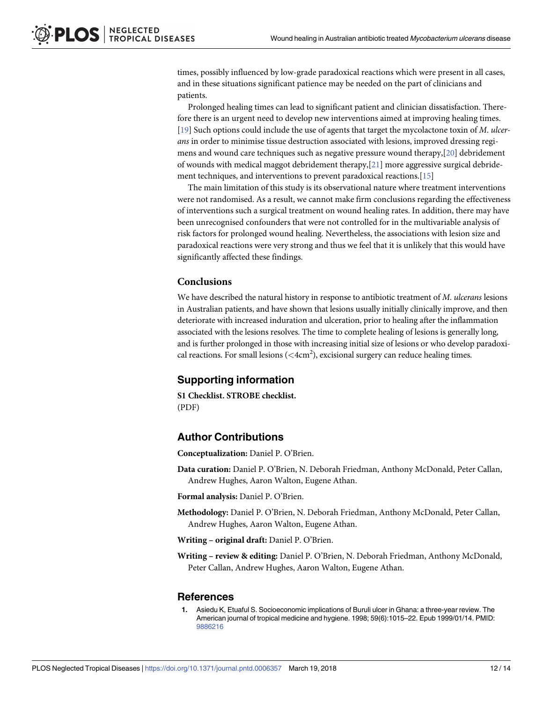<span id="page-12-0"></span>times, possibly influenced by low-grade paradoxical reactions which were present in all cases, and in these situations significant patience may be needed on the part of clinicians and patients.

Prolonged healing times can lead to significant patient and clinician dissatisfaction. Therefore there is an urgent need to develop new interventions aimed at improving healing times. [\[19\]](#page-13-0) Such options could include the use of agents that target the mycolactone toxin of *M*. *ulcerans* in order to minimise tissue destruction associated with lesions, improved dressing regimens and wound care techniques such as negative pressure wound therapy,[\[20\]](#page-14-0) debridement of wounds with medical maggot debridement therapy,  $[21]$  more aggressive surgical debridement techniques, and interventions to prevent paradoxical reactions.[[15](#page-13-0)]

The main limitation of this study is its observational nature where treatment interventions were not randomised. As a result, we cannot make firm conclusions regarding the effectiveness of interventions such a surgical treatment on wound healing rates. In addition, there may have been unrecognised confounders that were not controlled for in the multivariable analysis of risk factors for prolonged wound healing. Nevertheless, the associations with lesion size and paradoxical reactions were very strong and thus we feel that it is unlikely that this would have significantly affected these findings.

#### **Conclusions**

We have described the natural history in response to antibiotic treatment of *M*. *ulcerans* lesions in Australian patients, and have shown that lesions usually initially clinically improve, and then deteriorate with increased induration and ulceration, prior to healing after the inflammation associated with the lesions resolves. The time to complete healing of lesions is generally long, and is further prolonged in those with increasing initial size of lesions or who develop paradoxical reactions. For small lesions (*<*4cm2 ), excisional surgery can reduce healing times.

## **Supporting information**

**S1 [Checklist.](http://journals.plos.org/plosntds/article/asset?unique&id=info:doi/10.1371/journal.pntd.0006357.s001) STROBE checklist.** (PDF)

## **Author Contributions**

**Conceptualization:** Daniel P. O'Brien.

**Data curation:** Daniel P. O'Brien, N. Deborah Friedman, Anthony McDonald, Peter Callan, Andrew Hughes, Aaron Walton, Eugene Athan.

**Formal analysis:** Daniel P. O'Brien.

**Methodology:** Daniel P. O'Brien, N. Deborah Friedman, Anthony McDonald, Peter Callan, Andrew Hughes, Aaron Walton, Eugene Athan.

**Writing – original draft:** Daniel P. O'Brien.

**Writing – review & editing:** Daniel P. O'Brien, N. Deborah Friedman, Anthony McDonald, Peter Callan, Andrew Hughes, Aaron Walton, Eugene Athan.

#### **References**

**[1](#page-2-0).** Asiedu K, Etuaful S. Socioeconomic implications of Buruli ulcer in Ghana: a three-year review. The American journal of tropical medicine and hygiene. 1998; 59(6):1015–22. Epub 1999/01/14. PMID: [9886216](http://www.ncbi.nlm.nih.gov/pubmed/9886216)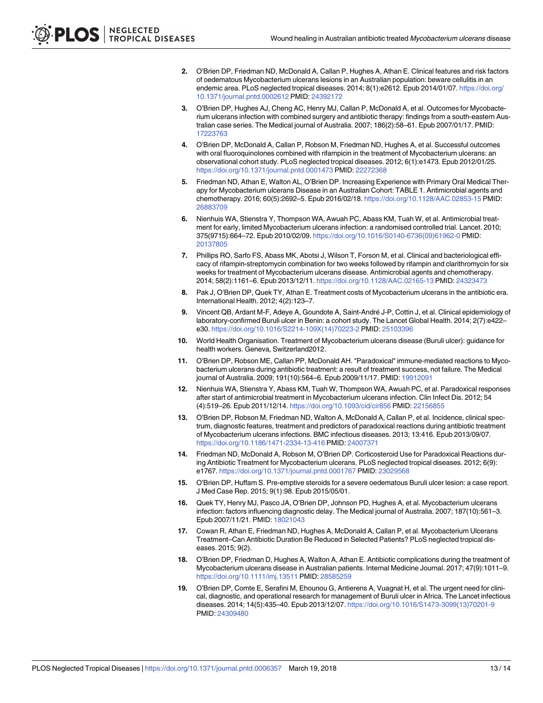- <span id="page-13-0"></span>**[2](#page-2-0).** O'Brien DP, Friedman ND, McDonald A, Callan P, Hughes A, Athan E. Clinical features and risk factors of oedematous Mycobacterium ulcerans lesions in an Australian population: beware cellulitis in an endemic area. PLoS neglected tropical diseases. 2014; 8(1):e2612. Epub 2014/01/07. [https://doi.org/](https://doi.org/10.1371/journal.pntd.0002612) [10.1371/journal.pntd.0002612](https://doi.org/10.1371/journal.pntd.0002612) PMID: [24392172](http://www.ncbi.nlm.nih.gov/pubmed/24392172)
- **[3](#page-2-0).** O'Brien DP, Hughes AJ, Cheng AC, Henry MJ, Callan P, McDonald A, et al. Outcomes for Mycobacterium ulcerans infection with combined surgery and antibiotic therapy: findings from a south-eastern Australian case series. The Medical journal of Australia. 2007; 186(2):58–61. Epub 2007/01/17. PMID: [17223763](http://www.ncbi.nlm.nih.gov/pubmed/17223763)
- **4.** O'Brien DP, McDonald A, Callan P, Robson M, Friedman ND, Hughes A, et al. Successful outcomes with oral fluoroquinolones combined with rifampicin in the treatment of Mycobacterium ulcerans: an observational cohort study. PLoS neglected tropical diseases. 2012; 6(1):e1473. Epub 2012/01/25. <https://doi.org/10.1371/journal.pntd.0001473> PMID: [22272368](http://www.ncbi.nlm.nih.gov/pubmed/22272368)
- **5.** Friedman ND, Athan E, Walton AL, O'Brien DP. Increasing Experience with Primary Oral Medical Therapy for Mycobacterium ulcerans Disease in an Australian Cohort: TABLE 1. Antimicrobial agents and chemotherapy. 2016; 60(5):2692–5. Epub 2016/02/18. <https://doi.org/10.1128/AAC.02853-15> PMID: [26883709](http://www.ncbi.nlm.nih.gov/pubmed/26883709)
- **[6](#page-2-0).** Nienhuis WA, Stienstra Y, Thompson WA, Awuah PC, Abass KM, Tuah W, et al. Antimicrobial treatment for early, limited Mycobacterium ulcerans infection: a randomised controlled trial. Lancet. 2010; 375(9715):664–72. Epub 2010/02/09. [https://doi.org/10.1016/S0140-6736\(09\)61962-0](https://doi.org/10.1016/S0140-6736(09)61962-0) PMID: [20137805](http://www.ncbi.nlm.nih.gov/pubmed/20137805)
- **[7](#page-2-0).** Phillips RO, Sarfo FS, Abass MK, Abotsi J, Wilson T, Forson M, et al. Clinical and bacteriological efficacy of rifampin-streptomycin combination for two weeks followed by rifampin and clarithromycin for six weeks for treatment of Mycobacterium ulcerans disease. Antimicrobial agents and chemotherapy. 2014; 58(2):1161–6. Epub 2013/12/11. <https://doi.org/10.1128/AAC.02165-13> PMID: [24323473](http://www.ncbi.nlm.nih.gov/pubmed/24323473)
- **[8](#page-2-0).** Pak J, O'Brien DP, Quek TY, Athan E. Treatment costs of Mycobacterium ulcerans in the antibiotic era. International Health. 2012; 4(2):123–7.
- **[9](#page-3-0).** Vincent QB, Ardant M-F, Adeye A, Goundote A, Saint-André J-P, Cottin J, et al. Clinical epidemiology of laboratory-confirmed Buruli ulcer in Benin: a cohort study. The Lancet Global Health. 2014; 2(7):e422e30. [https://doi.org/10.1016/S2214-109X\(14\)70223-2](https://doi.org/10.1016/S2214-109X(14)70223-2) PMID: [25103396](http://www.ncbi.nlm.nih.gov/pubmed/25103396)
- **[10](#page-3-0).** World Health Organisation. Treatment of Mycobacterium ulcerans disease (Buruli ulcer): guidance for health workers. Geneva, Switzerland2012.
- **[11](#page-4-0).** O'Brien DP, Robson ME, Callan PP, McDonald AH. "Paradoxical" immune-mediated reactions to Mycobacterium ulcerans during antibiotic treatment: a result of treatment success, not failure. The Medical journal of Australia. 2009; 191(10):564–6. Epub 2009/11/17. PMID: [19912091](http://www.ncbi.nlm.nih.gov/pubmed/19912091)
- **[12](#page-11-0).** Nienhuis WA, Stienstra Y, Abass KM, Tuah W, Thompson WA, Awuah PC, et al. Paradoxical responses after start of antimicrobial treatment in Mycobacterium ulcerans infection. Clin Infect Dis. 2012; 54 (4):519–26. Epub 2011/12/14. <https://doi.org/10.1093/cid/cir856> PMID: [22156855](http://www.ncbi.nlm.nih.gov/pubmed/22156855)
- **[13](#page-11-0).** O'Brien DP, Robson M, Friedman ND, Walton A, McDonald A, Callan P, et al. Incidence, clinical spectrum, diagnostic features, treatment and predictors of paradoxical reactions during antibiotic treatment of Mycobacterium ulcerans infections. BMC infectious diseases. 2013; 13:416. Epub 2013/09/07. <https://doi.org/10.1186/1471-2334-13-416> PMID: [24007371](http://www.ncbi.nlm.nih.gov/pubmed/24007371)
- **[14](#page-11-0).** Friedman ND, McDonald A, Robson M, O'Brien DP. Corticosteroid Use for Paradoxical Reactions during Antibiotic Treatment for Mycobacterium ulcerans. PLoS neglected tropical diseases. 2012; 6(9): e1767. <https://doi.org/10.1371/journal.pntd.0001767> PMID: [23029568](http://www.ncbi.nlm.nih.gov/pubmed/23029568)
- **[15](#page-11-0).** O'Brien DP, Huffam S. Pre-emptive steroids for a severe oedematous Buruli ulcer lesion: a case report. J Med Case Rep. 2015; 9(1):98. Epub 2015/05/01.
- **[16](#page-11-0).** Quek TY, Henry MJ, Pasco JA, O'Brien DP, Johnson PD, Hughes A, et al. Mycobacterium ulcerans infection: factors influencing diagnostic delay. The Medical journal of Australia. 2007; 187(10):561–3. Epub 2007/11/21. PMID: [18021043](http://www.ncbi.nlm.nih.gov/pubmed/18021043)
- **[17](#page-11-0).** Cowan R, Athan E, Friedman ND, Hughes A, McDonald A, Callan P, et al. Mycobacterium Ulcerans Treatment–Can Antibiotic Duration Be Reduced in Selected Patients? PLoS neglected tropical diseases. 2015; 9(2).
- **[18](#page-11-0).** O'Brien DP, Friedman D, Hughes A, Walton A, Athan E. Antibiotic complications during the treatment of Mycobacterium ulcerans disease in Australian patients. Internal Medicine Journal. 2017; 47(9):1011–9. <https://doi.org/10.1111/imj.13511> PMID: [28585259](http://www.ncbi.nlm.nih.gov/pubmed/28585259)
- **[19](#page-12-0).** O'Brien DP, Comte E, Serafini M, Ehounou G, Antierens A, Vuagnat H, et al. The urgent need for clinical, diagnostic, and operational research for management of Buruli ulcer in Africa. The Lancet infectious diseases. 2014; 14(5):435–40. Epub 2013/12/07. [https://doi.org/10.1016/S1473-3099\(13\)70201-9](https://doi.org/10.1016/S1473-3099(13)70201-9) PMID: [24309480](http://www.ncbi.nlm.nih.gov/pubmed/24309480)